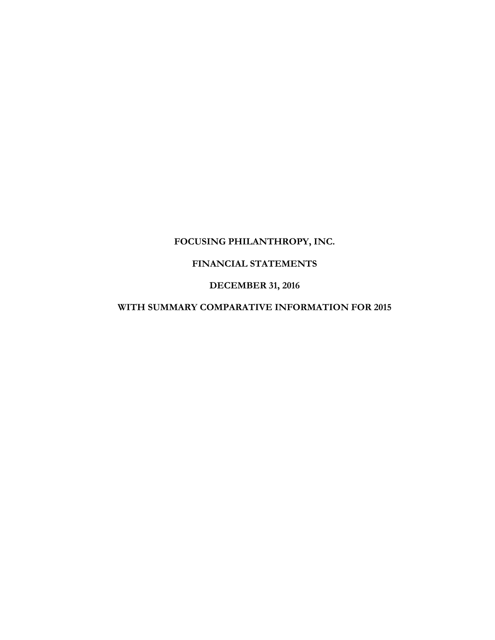# **FOCUSING PHILANTHROPY, INC.**

# **FINANCIAL STATEMENTS**

## **DECEMBER 31, 2016**

# **WITH SUMMARY COMPARATIVE INFORMATION FOR 2015**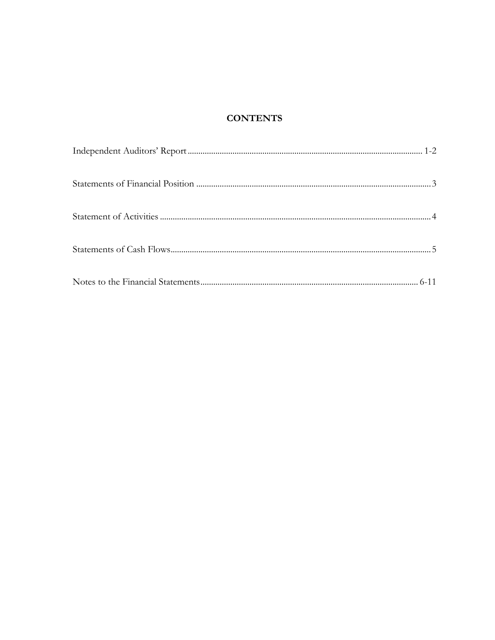# **CONTENTS**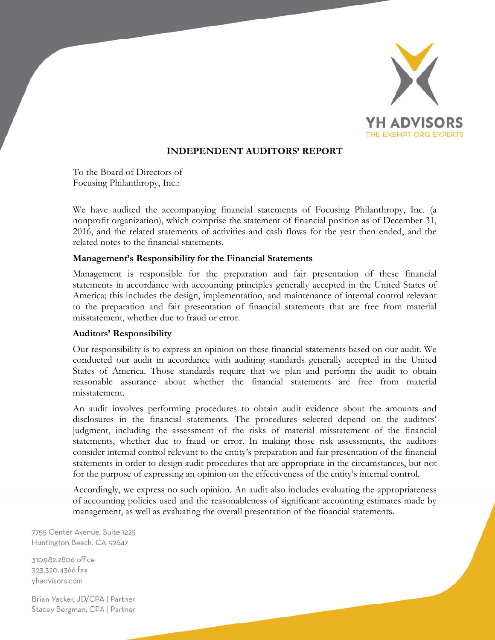

# **INDEPENDENT AUDITORS' REPORT**

To the Board of Directors of Focusing Philanthropy, Inc.:

We have audited the accompanying financial statements of Focusing Philanthropy, Inc. (a nonprofit organization), which comprise the statement of financial position as of December 31, 2016, and the related statements of activities and cash flows for the year then ended, and the related notes to the financial statements.

#### **Management's Responsibility for the Financial Statements**

Management is responsible for the preparation and fair presentation of these financial statements in accordance with accounting principles generally accepted in the United States of America; this includes the design, implementation, and maintenance of internal control relevant to the preparation and fair presentation of financial statements that are free from material misstatement, whether due to fraud or error.

#### **Auditors' Responsibility**

Our responsibility is to express an opinion on these financial statements based on our audit. We conducted our audit in accordance with auditing standards generally accepted in the United States of America. Those standards require that we plan and perform the audit to obtain reasonable assurance about whether the financial statements are free from material misstatement.

An audit involves performing procedures to obtain audit evidence about the amounts and disclosures in the financial statements. The procedures selected depend on the auditors' judgment, including the assessment of the risks of material misstatement of the financial statements, whether due to fraud or error. In making those risk assessments, the auditors consider internal control relevant to the entity's preparation and fair presentation of the financial statements in order to design audit procedures that are appropriate in the circumstances, but not for the purpose of expressing an opinion on the effectiveness of the entity's internal control.

Accordingly, we express no such opinion. An audit also includes evaluating the appropriateness of accounting policies used and the reasonableness of significant accounting estimates made by management, as well as evaluating the overall presentation of the financial statements.

7755 Center Avenue, Suite 1225 Huntington Beach, CA 92647

310.982.2806 office 323.320.4366 fax vhadvisors.com

Brian Yacker, JD/CPA | Partner Stacey Bergman, CPA | Partner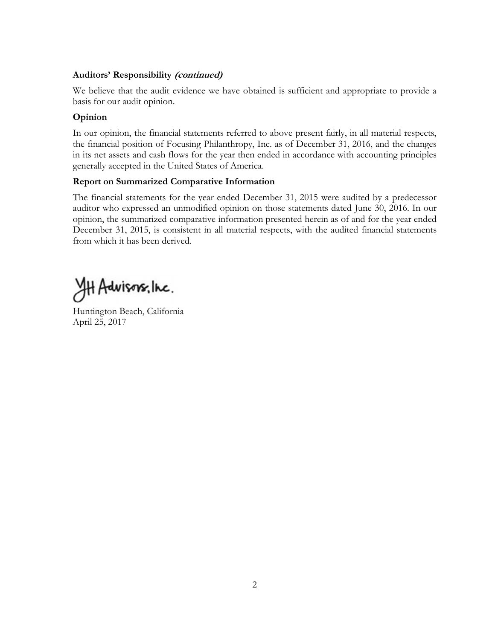## **Auditors' Responsibility (continued)**

We believe that the audit evidence we have obtained is sufficient and appropriate to provide a basis for our audit opinion.

## **Opinion**

In our opinion, the financial statements referred to above present fairly, in all material respects, the financial position of Focusing Philanthropy, Inc. as of December 31, 2016, and the changes in its net assets and cash flows for the year then ended in accordance with accounting principles generally accepted in the United States of America.

## **Report on Summarized Comparative Information**

The financial statements for the year ended December 31, 2015 were audited by a predecessor auditor who expressed an unmodified opinion on those statements dated June 30, 2016. In our opinion, the summarized comparative information presented herein as of and for the year ended December 31, 2015, is consistent in all material respects, with the audited financial statements from which it has been derived.

HH Advisors, linc.

Huntington Beach, California April 25, 2017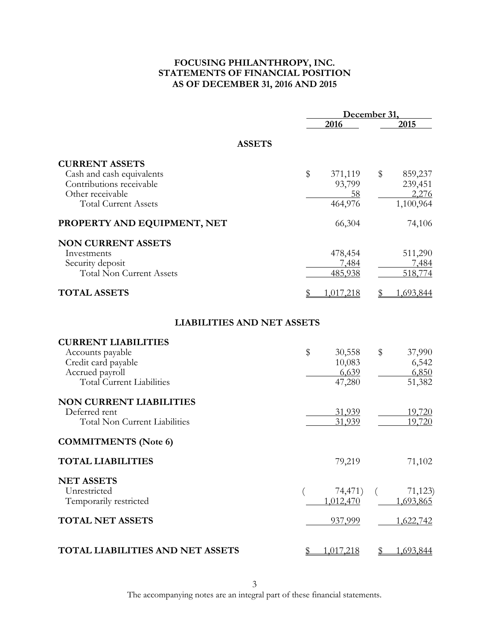## **FOCUSING PHILANTHROPY, INC. STATEMENTS OF FINANCIAL POSITION AS OF DECEMBER 31, 2016 AND 2015**

|                                      |                 | December 31,              |  |  |
|--------------------------------------|-----------------|---------------------------|--|--|
|                                      | 2016            | 2015                      |  |  |
| <b>ASSETS</b>                        |                 |                           |  |  |
| <b>CURRENT ASSETS</b>                |                 |                           |  |  |
| Cash and cash equivalents            | \$<br>371,119   | \$<br>859,237             |  |  |
| Contributions receivable             | 93,799          | 239,451                   |  |  |
| Other receivable                     | <u>58</u>       | 2,276                     |  |  |
| <b>Total Current Assets</b>          | 464,976         | 1,100,964                 |  |  |
| PROPERTY AND EQUIPMENT, NET          | 66,304          | 74,106                    |  |  |
| <b>NON CURRENT ASSETS</b>            |                 |                           |  |  |
| Investments                          | 478,454         | 511,290                   |  |  |
| Security deposit                     | 7,484           | 7,484                     |  |  |
| <b>Total Non Current Assets</b>      | 485,938         | 518,774                   |  |  |
| <b>TOTAL ASSETS</b>                  | 1,017,218<br>\$ | 1,693,844                 |  |  |
| <b>LIABILITIES AND NET ASSETS</b>    |                 |                           |  |  |
| <b>CURRENT LIABILITIES</b>           |                 |                           |  |  |
| Accounts payable                     | \$<br>30,558    | \$<br>37,990              |  |  |
| Credit card payable                  | 10,083          | 6,542                     |  |  |
| Accrued payroll                      | 6,639           | 6,850                     |  |  |
| <b>Total Current Liabilities</b>     | 47,280          | 51,382                    |  |  |
| <b>NON CURRENT LIABILITIES</b>       |                 |                           |  |  |
| Deferred rent                        | 31,939          | 19,720                    |  |  |
| <b>Total Non Current Liabilities</b> | 31,939          | 19,720                    |  |  |
| <b>COMMITMENTS</b> (Note 6)          |                 |                           |  |  |
| <b>TOTAL LIABILITIES</b>             | 79,219          | 71,102                    |  |  |
| <b>NET ASSETS</b>                    |                 |                           |  |  |
| Unrestricted                         | 74,471)         | 71,123<br>$\left($        |  |  |
| Temporarily restricted               | 1,012,470       | 1,693,865                 |  |  |
| <b>TOTAL NET ASSETS</b>              | 937,999         | 1,622,742                 |  |  |
| TOTAL LIABILITIES AND NET ASSETS     | 1,017,218<br>\$ | $\mathbb{S}$<br>1,693,844 |  |  |

The accompanying notes are an integral part of these financial statements.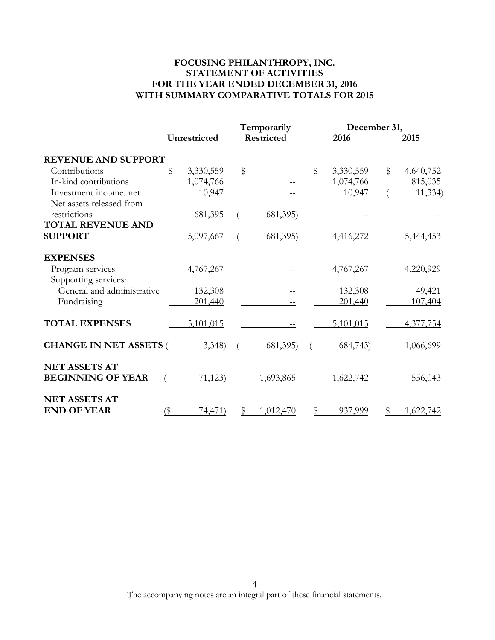## **FOCUSING PHILANTHROPY, INC. STATEMENT OF ACTIVITIES FOR THE YEAR ENDED DECEMBER 31, 2016 WITH SUMMARY COMPARATIVE TOTALS FOR 2015**

|                               |     | Temporarily  |       |                  | December 31, |           |    |           |
|-------------------------------|-----|--------------|-------|------------------|--------------|-----------|----|-----------|
|                               |     | Unrestricted |       | Restricted       |              | 2016      |    | 2015      |
| <b>REVENUE AND SUPPORT</b>    |     |              |       |                  |              |           |    |           |
| Contributions                 | \$  | 3,330,559    | $\$\$ |                  | $\$\$        | 3,330,559 | \$ | 4,640,752 |
| In-kind contributions         |     | 1,074,766    |       |                  |              | 1,074,766 |    | 815,035   |
| Investment income, net        |     | 10,947       |       |                  |              | 10,947    |    | 11,334    |
| Net assets released from      |     |              |       |                  |              |           |    |           |
| restrictions                  |     | 681,395      |       | <u>681,395</u> ) |              |           |    |           |
| <b>TOTAL REVENUE AND</b>      |     |              |       |                  |              |           |    |           |
| <b>SUPPORT</b>                |     | 5,097,667    |       | 681,395)         |              | 4,416,272 |    | 5,444,453 |
| <b>EXPENSES</b>               |     |              |       |                  |              |           |    |           |
| Program services              |     | 4,767,267    |       |                  |              | 4,767,267 |    | 4,220,929 |
| Supporting services:          |     |              |       |                  |              |           |    |           |
| General and administrative    |     | 132,308      |       |                  |              | 132,308   |    | 49,421    |
| Fundraising                   |     | 201,440      |       |                  |              | 201,440   |    | 107,404   |
| <b>TOTAL EXPENSES</b>         |     | 5,101,015    |       |                  |              | 5,101,015 |    | 4,377,754 |
| <b>CHANGE IN NET ASSETS (</b> |     | 3,348        |       | 681,395)         |              | 684,743)  |    | 1,066,699 |
| <b>NET ASSETS AT</b>          |     |              |       |                  |              |           |    |           |
| <b>BEGINNING OF YEAR</b>      |     | 71,123)      |       | 1,693,865        |              | 1,622,742 |    | 556,043   |
| <b>NET ASSETS AT</b>          |     |              |       |                  |              |           |    |           |
| <b>END OF YEAR</b>            | (\$ | 74,471)      |       | 1,012,470        |              | 937,999   |    | 1,622,742 |

The accompanying notes are an integral part of these financial statements.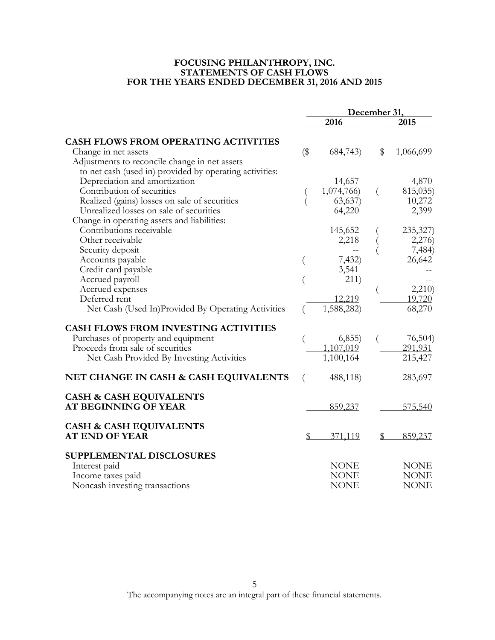#### **FOCUSING PHILANTHROPY, INC. STATEMENTS OF CASH FLOWS FOR THE YEARS ENDED DECEMBER 31, 2016 AND 2015**

|                                                                   | December 31, |             |          |             |
|-------------------------------------------------------------------|--------------|-------------|----------|-------------|
|                                                                   |              | 2016        |          | 2015        |
| <b>CASH FLOWS FROM OPERATING ACTIVITIES</b>                       |              |             |          |             |
| Change in net assets                                              | $(\$\$       | 684,743)    | \$       | 1,066,699   |
| Adjustments to reconcile change in net assets                     |              |             |          |             |
| to net cash (used in) provided by operating activities:           |              |             |          |             |
| Depreciation and amortization                                     |              | 14,657      |          | 4,870       |
| Contribution of securities                                        |              | 1,074,766)  | $\left($ | 815,035)    |
| Realized (gains) losses on sale of securities                     |              | 63,637      |          | 10,272      |
| Unrealized losses on sale of securities                           |              | 64,220      |          | 2,399       |
| Change in operating assets and liabilities:                       |              |             |          |             |
| Contributions receivable                                          |              | 145,652     |          | 235,327)    |
| Other receivable                                                  |              | 2,218       |          | 2,276       |
| Security deposit                                                  |              |             |          | 7,484)      |
| Accounts payable                                                  |              | 7,432)      |          | 26,642      |
| Credit card payable                                               |              | 3,541       |          |             |
| Accrued payroll                                                   |              | 211)        |          |             |
| Accrued expenses                                                  |              |             |          | 2,210       |
| Deferred rent                                                     |              | 12,219      |          | 19,720      |
| Net Cash (Used In)Provided By Operating Activities                |              | 1,588,282)  |          | 68,270      |
| <b>CASH FLOWS FROM INVESTING ACTIVITIES</b>                       |              |             |          |             |
| Purchases of property and equipment                               |              | (6, 855)    |          | 76,504      |
| Proceeds from sale of securities                                  |              | 1,107,019   |          | 291,931     |
| Net Cash Provided By Investing Activities                         |              | 1,100,164   |          | 215,427     |
| NET CHANGE IN CASH & CASH EQUIVALENTS                             | $\left($     | 488,118)    |          | 283,697     |
| <b>CASH &amp; CASH EQUIVALENTS</b><br><b>AT BEGINNING OF YEAR</b> |              | 859,237     |          | 575,540     |
| <b>CASH &amp; CASH EQUIVALENTS</b>                                |              |             |          |             |
| <b>AT END OF YEAR</b>                                             |              | 371,119     |          | 859,237     |
| SUPPLEMENTAL DISCLOSURES                                          |              |             |          |             |
| Interest paid                                                     |              | <b>NONE</b> |          | <b>NONE</b> |
| Income taxes paid                                                 |              | <b>NONE</b> |          | <b>NONE</b> |
| Noncash investing transactions                                    |              | <b>NONE</b> |          | <b>NONE</b> |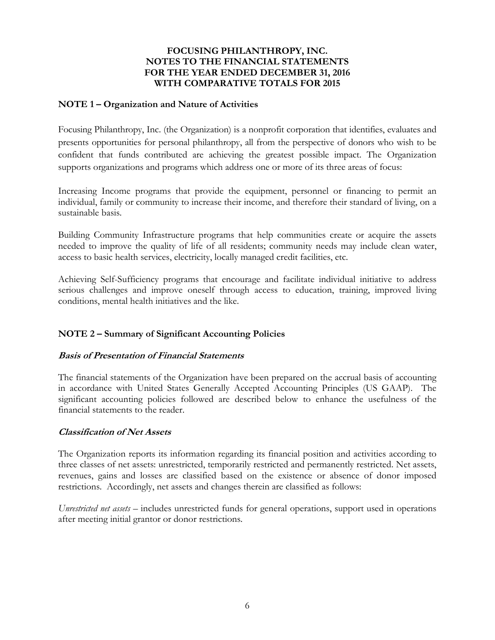## **NOTE 1 – Organization and Nature of Activities**

Focusing Philanthropy, Inc. (the Organization) is a nonprofit corporation that identifies, evaluates and presents opportunities for personal philanthropy, all from the perspective of donors who wish to be confident that funds contributed are achieving the greatest possible impact. The Organization supports organizations and programs which address one or more of its three areas of focus:

Increasing Income programs that provide the equipment, personnel or financing to permit an individual, family or community to increase their income, and therefore their standard of living, on a sustainable basis.

Building Community Infrastructure programs that help communities create or acquire the assets needed to improve the quality of life of all residents; community needs may include clean water, access to basic health services, electricity, locally managed credit facilities, etc.

Achieving Self-Sufficiency programs that encourage and facilitate individual initiative to address serious challenges and improve oneself through access to education, training, improved living conditions, mental health initiatives and the like.

# **NOTE 2 – Summary of Significant Accounting Policies**

## **Basis of Presentation of Financial Statements**

The financial statements of the Organization have been prepared on the accrual basis of accounting in accordance with United States Generally Accepted Accounting Principles (US GAAP). The significant accounting policies followed are described below to enhance the usefulness of the financial statements to the reader.

## **Classification of Net Assets**

The Organization reports its information regarding its financial position and activities according to three classes of net assets: unrestricted, temporarily restricted and permanently restricted. Net assets, revenues, gains and losses are classified based on the existence or absence of donor imposed restrictions. Accordingly, net assets and changes therein are classified as follows:

*Unrestricted net assets* – includes unrestricted funds for general operations, support used in operations after meeting initial grantor or donor restrictions.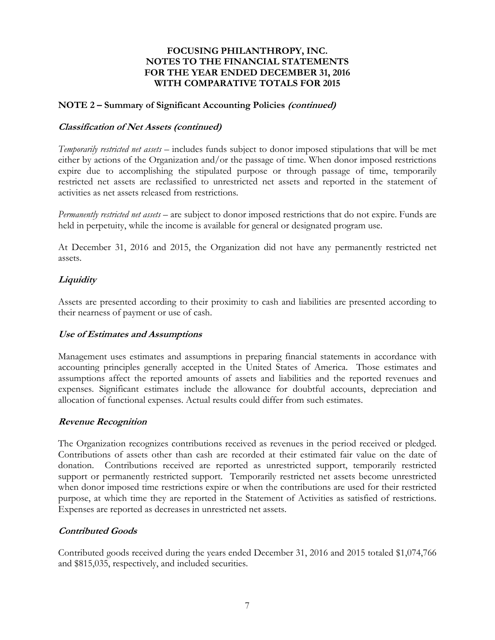#### **NOTE 2 – Summary of Significant Accounting Policies (continued)**

#### **Classification of Net Assets (continued)**

*Temporarily restricted net assets* – includes funds subject to donor imposed stipulations that will be met either by actions of the Organization and/or the passage of time. When donor imposed restrictions expire due to accomplishing the stipulated purpose or through passage of time, temporarily restricted net assets are reclassified to unrestricted net assets and reported in the statement of activities as net assets released from restrictions.

*Permanently restricted net assets* – are subject to donor imposed restrictions that do not expire. Funds are held in perpetuity, while the income is available for general or designated program use.

At December 31, 2016 and 2015, the Organization did not have any permanently restricted net assets.

## **Liquidity**

Assets are presented according to their proximity to cash and liabilities are presented according to their nearness of payment or use of cash.

## **Use of Estimates and Assumptions**

Management uses estimates and assumptions in preparing financial statements in accordance with accounting principles generally accepted in the United States of America. Those estimates and assumptions affect the reported amounts of assets and liabilities and the reported revenues and expenses. Significant estimates include the allowance for doubtful accounts, depreciation and allocation of functional expenses. Actual results could differ from such estimates.

#### **Revenue Recognition**

The Organization recognizes contributions received as revenues in the period received or pledged. Contributions of assets other than cash are recorded at their estimated fair value on the date of donation. Contributions received are reported as unrestricted support, temporarily restricted support or permanently restricted support. Temporarily restricted net assets become unrestricted when donor imposed time restrictions expire or when the contributions are used for their restricted purpose, at which time they are reported in the Statement of Activities as satisfied of restrictions. Expenses are reported as decreases in unrestricted net assets.

## **Contributed Goods**

Contributed goods received during the years ended December 31, 2016 and 2015 totaled \$1,074,766 and \$815,035, respectively, and included securities.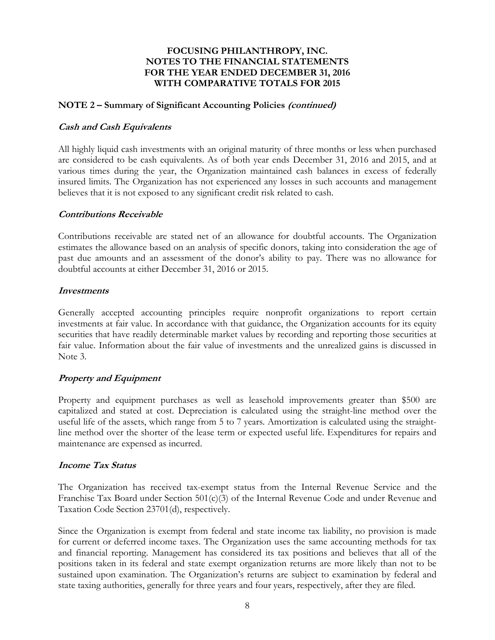#### **NOTE 2 – Summary of Significant Accounting Policies (continued)**

#### **Cash and Cash Equivalents**

All highly liquid cash investments with an original maturity of three months or less when purchased are considered to be cash equivalents. As of both year ends December 31, 2016 and 2015, and at various times during the year, the Organization maintained cash balances in excess of federally insured limits. The Organization has not experienced any losses in such accounts and management believes that it is not exposed to any significant credit risk related to cash.

#### **Contributions Receivable**

Contributions receivable are stated net of an allowance for doubtful accounts. The Organization estimates the allowance based on an analysis of specific donors, taking into consideration the age of past due amounts and an assessment of the donor's ability to pay. There was no allowance for doubtful accounts at either December 31, 2016 or 2015.

#### **Investments**

Generally accepted accounting principles require nonprofit organizations to report certain investments at fair value. In accordance with that guidance, the Organization accounts for its equity securities that have readily determinable market values by recording and reporting those securities at fair value. Information about the fair value of investments and the unrealized gains is discussed in Note 3.

## **Property and Equipment**

Property and equipment purchases as well as leasehold improvements greater than \$500 are capitalized and stated at cost. Depreciation is calculated using the straight-line method over the useful life of the assets, which range from 5 to 7 years. Amortization is calculated using the straightline method over the shorter of the lease term or expected useful life. Expenditures for repairs and maintenance are expensed as incurred.

## **Income Tax Status**

The Organization has received tax-exempt status from the Internal Revenue Service and the Franchise Tax Board under Section 501(c)(3) of the Internal Revenue Code and under Revenue and Taxation Code Section 23701(d), respectively.

Since the Organization is exempt from federal and state income tax liability, no provision is made for current or deferred income taxes. The Organization uses the same accounting methods for tax and financial reporting. Management has considered its tax positions and believes that all of the positions taken in its federal and state exempt organization returns are more likely than not to be sustained upon examination. The Organization's returns are subject to examination by federal and state taxing authorities, generally for three years and four years, respectively, after they are filed.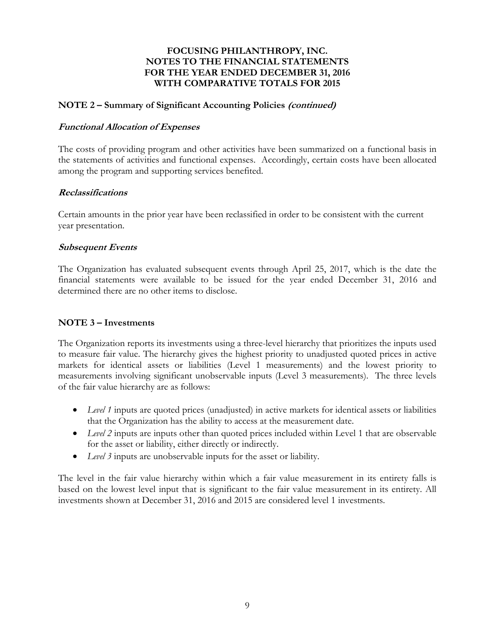#### **NOTE 2 – Summary of Significant Accounting Policies (continued)**

#### **Functional Allocation of Expenses**

The costs of providing program and other activities have been summarized on a functional basis in the statements of activities and functional expenses. Accordingly, certain costs have been allocated among the program and supporting services benefited.

#### **Reclassifications**

Certain amounts in the prior year have been reclassified in order to be consistent with the current year presentation.

#### **Subsequent Events**

The Organization has evaluated subsequent events through April 25, 2017, which is the date the financial statements were available to be issued for the year ended December 31, 2016 and determined there are no other items to disclose.

#### **NOTE 3 – Investments**

The Organization reports its investments using a three-level hierarchy that prioritizes the inputs used to measure fair value. The hierarchy gives the highest priority to unadjusted quoted prices in active markets for identical assets or liabilities (Level 1 measurements) and the lowest priority to measurements involving significant unobservable inputs (Level 3 measurements). The three levels of the fair value hierarchy are as follows:

- Level 1 inputs are quoted prices (unadjusted) in active markets for identical assets or liabilities that the Organization has the ability to access at the measurement date.
- *Level 2* inputs are inputs other than quoted prices included within Level 1 that are observable for the asset or liability, either directly or indirectly.
- *Level 3* inputs are unobservable inputs for the asset or liability.

The level in the fair value hierarchy within which a fair value measurement in its entirety falls is based on the lowest level input that is significant to the fair value measurement in its entirety. All investments shown at December 31, 2016 and 2015 are considered level 1 investments.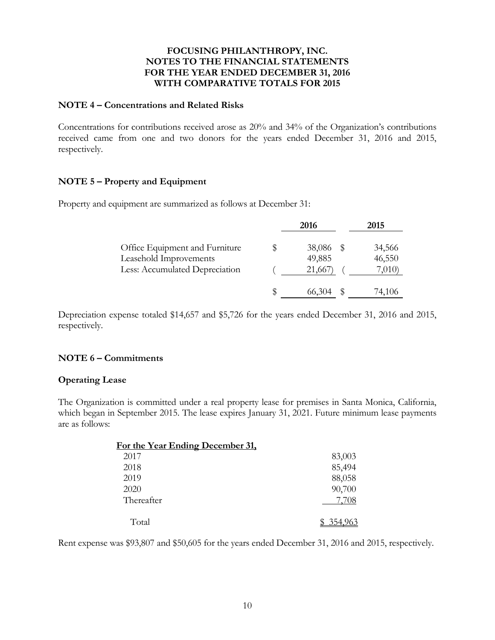#### **NOTE 4 – Concentrations and Related Risks**

Concentrations for contributions received arose as 20% and 34% of the Organization's contributions received came from one and two donors for the years ended December 31, 2016 and 2015, respectively.

# **NOTE 5 – Property and Equipment**

Property and equipment are summarized as follows at December 31:

|                                                                                            |  | 2016                       | 2015                      |
|--------------------------------------------------------------------------------------------|--|----------------------------|---------------------------|
| Office Equipment and Furniture<br>Leasehold Improvements<br>Less: Accumulated Depreciation |  | 38,086<br>49,885<br>21,667 | 34,566<br>46,550<br>7,010 |
|                                                                                            |  | 66,304                     | 74,106                    |

Depreciation expense totaled \$14,657 and \$5,726 for the years ended December 31, 2016 and 2015, respectively.

## **NOTE 6 – Commitments**

## **Operating Lease**

The Organization is committed under a real property lease for premises in Santa Monica, California, which began in September 2015. The lease expires January 31, 2021. Future minimum lease payments are as follows:

| For the Year Ending December 31, |         |
|----------------------------------|---------|
| 2017                             | 83,003  |
| 2018                             | 85,494  |
| 2019                             | 88,058  |
| 2020                             | 90,700  |
| Thereafter                       | 7,708   |
| Total                            | 354.964 |

Rent expense was \$93,807 and \$50,605 for the years ended December 31, 2016 and 2015, respectively.